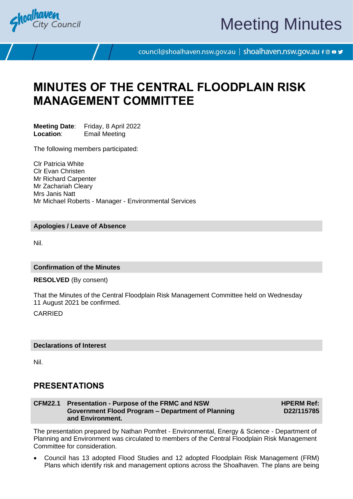

# Meeting Minutes

council@shoalhaven.nsw.gov.au | shoalhaven.nsw.gov.au f @ ■ y

## **MINUTES OF THE CENTRAL FLOODPLAIN RISK MANAGEMENT COMMITTEE**

**Meeting Date:** Friday, 8 April 2022<br>**Location:** Fmail Meeting **Email Meeting** 

The following members participated:

Clr Patricia White Clr Evan Christen Mr Richard Carpenter Mr Zachariah Cleary Mrs Janis Natt Mr Michael Roberts - Manager - Environmental Services

## **Apologies / Leave of Absence**

Nil.

#### **Confirmation of the Minutes**

**RESOLVED** (By consent)

That the Minutes of the Central Floodplain Risk Management Committee held on Wednesday 11 August 2021 be confirmed.

CARRIED

## **Declarations of Interest**

Nil.

## **PRESENTATIONS**

## **CFM22.1 Presentation - Purpose of the FRMC and NSW Government Flood Program – Department of Planning and Environment.**

**HPERM Ref: D22/115785**

The presentation prepared by Nathan Pomfret - Environmental, Energy & Science - Department of Planning and Environment was circulated to members of the Central Floodplain Risk Management Committee for consideration.

• Council has 13 adopted Flood Studies and 12 adopted Floodplain Risk Management (FRM) Plans which identify risk and management options across the Shoalhaven. The plans are being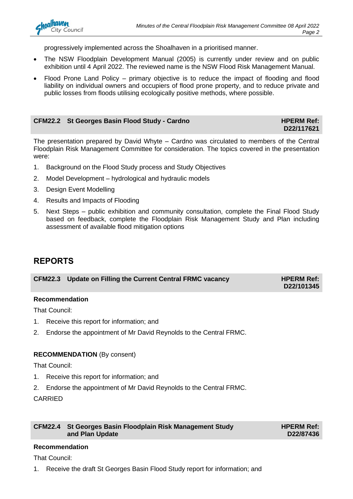progressively implemented across the Shoalhaven in a prioritised manner.

- The NSW Floodplain Development Manual (2005) is currently under review and on public exhibition until 4 April 2022. The reviewed name is the NSW Flood Risk Management Manual.
- Flood Prone Land Policy primary objective is to reduce the impact of flooding and flood liability on individual owners and occupiers of flood prone property, and to reduce private and public losses from floods utilising ecologically positive methods, where possible.

## **CFM22.2 St Georges Basin Flood Study - Cardno HPERM Ref:**

**D22/117621**

The presentation prepared by David Whyte – Cardno was circulated to members of the Central Floodplain Risk Management Committee for consideration. The topics covered in the presentation were:

- 1. Background on the Flood Study process and Study Objectives
- 2. Model Development hydrological and hydraulic models
- 3. Design Event Modelling
- 4. Results and Impacts of Flooding
- 5. Next Steps public exhibition and community consultation, complete the Final Flood Study based on feedback, complete the Floodplain Risk Management Study and Plan including assessment of available flood mitigation options

## **REPORTS**

| CFM22.3 Update on Filling the Current Central FRMC vacancy | <b>HPERM Ref:</b> |
|------------------------------------------------------------|-------------------|
|                                                            | D22/101345        |

## **Recommendation**

That Council:

- 1. Receive this report for information; and
- 2. Endorse the appointment of Mr David Reynolds to the Central FRMC.

## **RECOMMENDATION** (By consent)

That Council:

- 1. Receive this report for information; and
- 2. Endorse the appointment of Mr David Reynolds to the Central FRMC.

CARRIED

| CFM22.4 St Georges Basin Floodplain Risk Management Study |
|-----------------------------------------------------------|
| and Plan Update                                           |

**HPERM Ref: D22/87436**

## **Recommendation**

That Council:

1. Receive the draft St Georges Basin Flood Study report for information; and